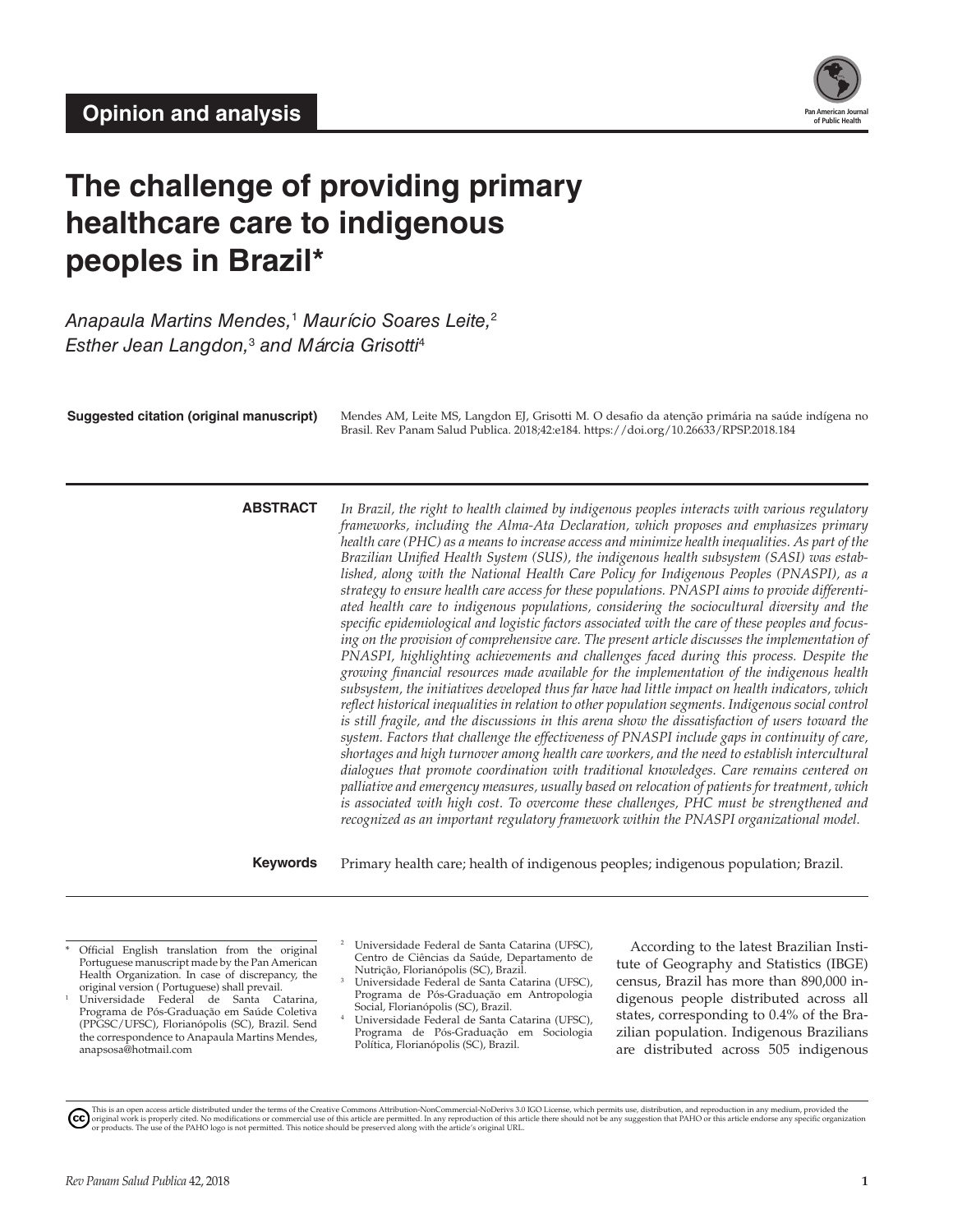

# **The challenge of providing primary healthcare care to indigenous peoples in Brazil\***

*Anapaula Martins Mendes,*<sup>1</sup>  *Maurício Soares Leite,*<sup>2</sup> *Esther Jean Langdon,*<sup>3</sup> *and Márcia Grisotti*<sup>4</sup>

Suggested citation (original manuscript) Mendes AM, Leite MS, Langdon EJ, Grisotti M. O desafio da atenção primária na saúde indígena no Brasil. Rev Panam Salud Publica. 2018;42:e184.<https://doi.org/10.26633/RPSP.2018.184>

**ABSTRACT** *In Brazil, the right to health claimed by indigenous peoples interacts with various regulatory frameworks, including the Alma-Ata Declaration, which proposes and emphasizes primary health care (PHC) as a means to increase access and minimize health inequalities. As part of the Brazilian Unified Health System (SUS), the indigenous health subsystem (SASI) was established, along with the National Health Care Policy for Indigenous Peoples (PNASPI), as a strategy to ensure health care access for these populations. PNASPI aims to provide differentiated health care to indigenous populations, considering the sociocultural diversity and the specific epidemiological and logistic factors associated with the care of these peoples and focusing on the provision of comprehensive care. The present article discusses the implementation of PNASPI, highlighting achievements and challenges faced during this process. Despite the growing financial resources made available for the implementation of the indigenous health subsystem, the initiatives developed thus far have had little impact on health indicators, which reflect historical inequalities in relation to other population segments. Indigenous social control is still fragile, and the discussions in this arena show the dissatisfaction of users toward the system. Factors that challenge the effectiveness of PNASPI include gaps in continuity of care, shortages and high turnover among health care workers, and the need to establish intercultural dialogues that promote coordination with traditional knowledges. Care remains centered on palliative and emergency measures, usually based on relocation of patients for treatment, which is associated with high cost. To overcome these challenges, PHC must be strengthened and recognized as an important regulatory framework within the PNASPI organizational model.*

**Keywords** Primary health care; health of indigenous peoples; indigenous population; Brazil.

Official English translation from the original Portuguese manuscript made by the Pan American Health Organization. In case of discrepancy, the

original version ( Portuguese) shall prevail. <sup>1</sup> Universidade Federal de Santa Catarina, Programa de Pós-Graduação em Saúde Coletiva (PPGSC/UFSC), Florianópolis (SC), Brazil. Send the correspondence to Anapaula Martins Mendes, [anapsosa@hotmail.com](mailto:anapsosa@hotmail.com)

- <sup>2</sup> Universidade Federal de Santa Catarina (UFSC), Centro de Ciências da Saúde, Departamento de Nutrição, Florianópolis (SC), Brazil.
- Universidade Federal de Santa Catarina (UFSC), Programa de Pós-Graduação em Antropologia Social, Florianópolis (SC), Brazil.
- <sup>4</sup> Universidade Federal de Santa Catarina (UFSC), Programa de Pós-Graduação em Sociologia Política, Florianópolis (SC), Brazil.

According to the latest Brazilian Institute of Geography and Statistics (IBGE) census, Brazil has more than 890,000 indigenous people distributed across all states, corresponding to 0.4% of the Brazilian population. Indigenous Brazilians are distributed across 505 indigenous



This is an open access article distributed under the terms of the [Creative Commons Attribution-NonCommercial-NoDerivs 3.0 IGO License](https://creativecommons.org/licenses/by-nc-nd/3.0/igo/legalcode), which permits use, distribution, and reproduction in any medium, provided the<br>orignal w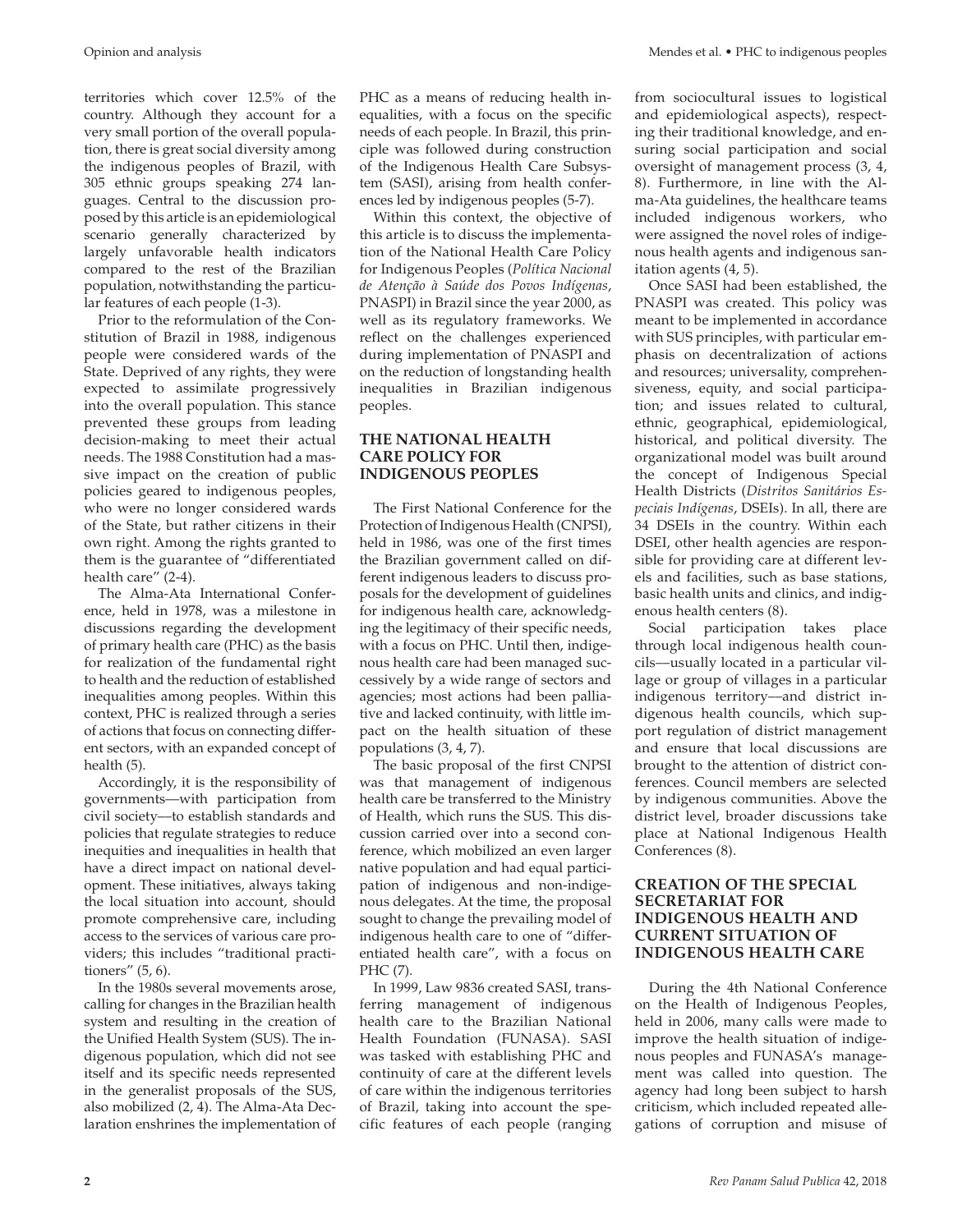territories which cover 12.5% of the country. Although they account for a very small portion of the overall population, there is great social diversity among the indigenous peoples of Brazil, with 305 ethnic groups speaking 274 languages. Central to the discussion proposed by this article is an epidemiological scenario generally characterized by largely unfavorable health indicators compared to the rest of the Brazilian population, notwithstanding the particular features of each people (1-3).

Prior to the reformulation of the Constitution of Brazil in 1988, indigenous people were considered wards of the State. Deprived of any rights, they were expected to assimilate progressively into the overall population. This stance prevented these groups from leading decision-making to meet their actual needs. The 1988 Constitution had a massive impact on the creation of public policies geared to indigenous peoples, who were no longer considered wards of the State, but rather citizens in their own right. Among the rights granted to them is the guarantee of "differentiated health care" (2-4).

The Alma-Ata International Conference, held in 1978, was a milestone in discussions regarding the development of primary health care (PHC) as the basis for realization of the fundamental right to health and the reduction of established inequalities among peoples. Within this context, PHC is realized through a series of actions that focus on connecting different sectors, with an expanded concept of health (5).

Accordingly, it is the responsibility of governments––with participation from civil society––to establish standards and policies that regulate strategies to reduce inequities and inequalities in health that have a direct impact on national development. These initiatives, always taking the local situation into account, should promote comprehensive care, including access to the services of various care providers; this includes "traditional practitioners" (5, 6).

In the 1980s several movements arose, calling for changes in the Brazilian health system and resulting in the creation of the Unified Health System (SUS). The indigenous population, which did not see itself and its specific needs represented in the generalist proposals of the SUS, also mobilized (2, 4). The Alma-Ata Declaration enshrines the implementation of

PHC as a means of reducing health inequalities, with a focus on the specific needs of each people. In Brazil, this principle was followed during construction of the Indigenous Health Care Subsystem (SASI), arising from health conferences led by indigenous peoples (5-7).

Within this context, the objective of this article is to discuss the implementation of the National Health Care Policy for Indigenous Peoples (*Política Nacional de Atenção à Saúde dos Povos Indígenas*, PNASPI) in Brazil since the year 2000, as well as its regulatory frameworks. We reflect on the challenges experienced during implementation of PNASPI and on the reduction of longstanding health inequalities in Brazilian indigenous peoples.

#### **THE NATIONAL HEALTH CARE POLICY FOR INDIGENOUS PEOPLES**

The First National Conference for the Protection of Indigenous Health (CNPSI), held in 1986, was one of the first times the Brazilian government called on different indigenous leaders to discuss proposals for the development of guidelines for indigenous health care, acknowledging the legitimacy of their specific needs, with a focus on PHC. Until then, indigenous health care had been managed successively by a wide range of sectors and agencies; most actions had been palliative and lacked continuity, with little impact on the health situation of these populations (3, 4, 7).

The basic proposal of the first CNPSI was that management of indigenous health care be transferred to the Ministry of Health, which runs the SUS. This discussion carried over into a second conference, which mobilized an even larger native population and had equal participation of indigenous and non-indigenous delegates. At the time, the proposal sought to change the prevailing model of indigenous health care to one of "differentiated health care", with a focus on PHC (7).

In 1999, Law 9836 created SASI, transferring management of indigenous health care to the Brazilian National Health Foundation (FUNASA). SASI was tasked with establishing PHC and continuity of care at the different levels of care within the indigenous territories of Brazil, taking into account the specific features of each people (ranging from sociocultural issues to logistical and epidemiological aspects), respecting their traditional knowledge, and ensuring social participation and social oversight of management process (3, 4, 8). Furthermore, in line with the Alma-Ata guidelines, the healthcare teams included indigenous workers, who were assigned the novel roles of indigenous health agents and indigenous sanitation agents (4, 5).

Once SASI had been established, the PNASPI was created. This policy was meant to be implemented in accordance with SUS principles, with particular emphasis on decentralization of actions and resources; universality, comprehensiveness, equity, and social participation; and issues related to cultural, ethnic, geographical, epidemiological, historical, and political diversity. The organizational model was built around the concept of Indigenous Special Health Districts (*Distritos Sanitários Especiais Indígenas*, DSEIs). In all, there are 34 DSEIs in the country. Within each DSEI, other health agencies are responsible for providing care at different levels and facilities, such as base stations, basic health units and clinics, and indigenous health centers (8).

Social participation takes place through local indigenous health councils––usually located in a particular village or group of villages in a particular indigenous territory––and district indigenous health councils, which support regulation of district management and ensure that local discussions are brought to the attention of district conferences. Council members are selected by indigenous communities. Above the district level, broader discussions take place at National Indigenous Health Conferences (8).

### **CREATION OF THE SPECIAL SECRETARIAT FOR INDIGENOUS HEALTH AND CURRENT SITUATION OF INDIGENOUS HEALTH CARE**

During the 4th National Conference on the Health of Indigenous Peoples, held in 2006, many calls were made to improve the health situation of indigenous peoples and FUNASA's management was called into question. The agency had long been subject to harsh criticism, which included repeated allegations of corruption and misuse of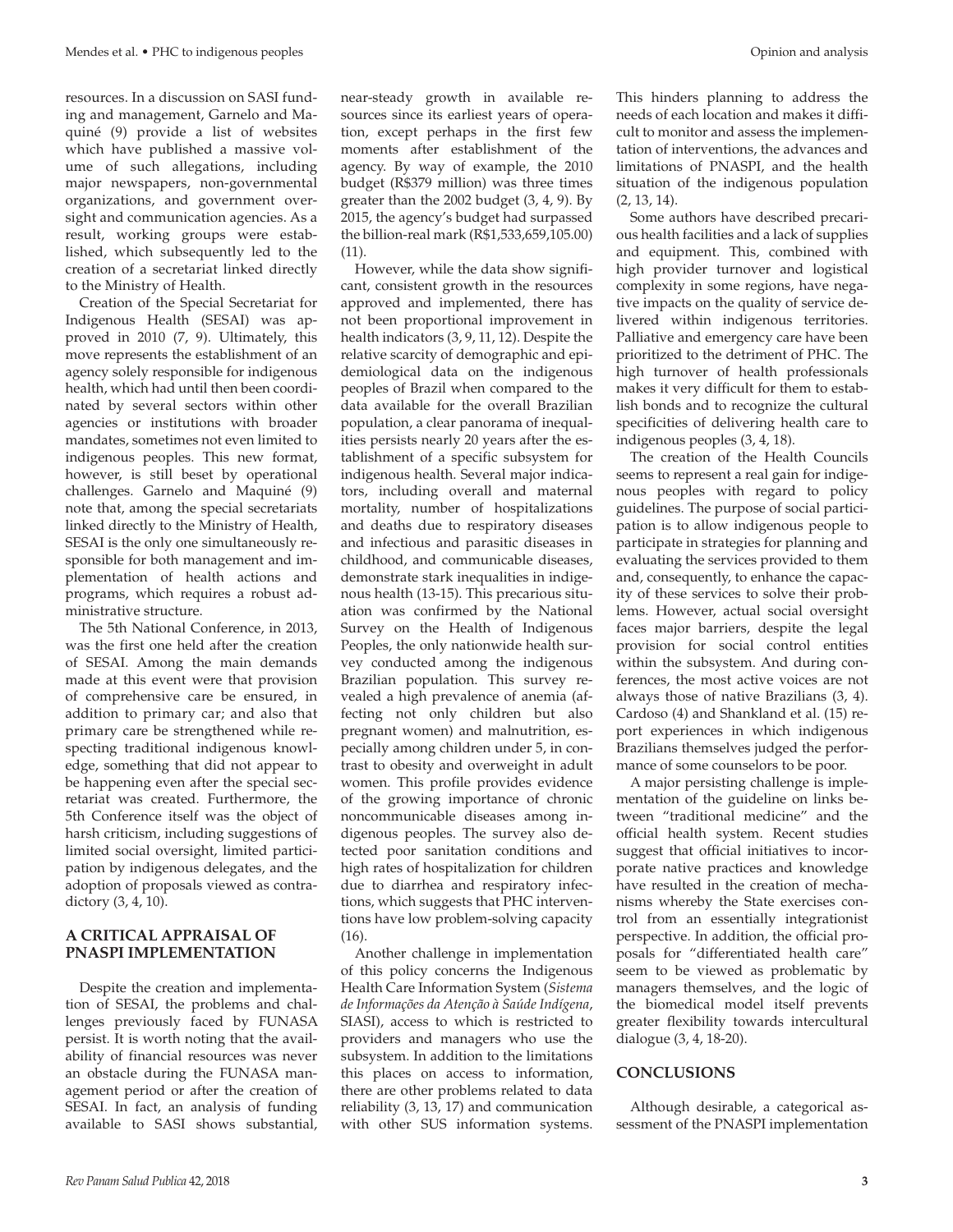resources. In a discussion on SASI funding and management, Garnelo and Maquiné (9) provide a list of websites which have published a massive volume of such allegations, including major newspapers, non-governmental organizations, and government oversight and communication agencies. As a result, working groups were established, which subsequently led to the creation of a secretariat linked directly to the Ministry of Health.

Creation of the Special Secretariat for Indigenous Health (SESAI) was approved in 2010 (7, 9). Ultimately, this move represents the establishment of an agency solely responsible for indigenous health, which had until then been coordinated by several sectors within other agencies or institutions with broader mandates, sometimes not even limited to indigenous peoples. This new format, however, is still beset by operational challenges. Garnelo and Maquiné (9) note that, among the special secretariats linked directly to the Ministry of Health, SESAI is the only one simultaneously responsible for both management and implementation of health actions and programs, which requires a robust administrative structure.

The 5th National Conference, in 2013, was the first one held after the creation of SESAI. Among the main demands made at this event were that provision of comprehensive care be ensured, in addition to primary car; and also that primary care be strengthened while respecting traditional indigenous knowledge, something that did not appear to be happening even after the special secretariat was created. Furthermore, the 5th Conference itself was the object of harsh criticism, including suggestions of limited social oversight, limited participation by indigenous delegates, and the adoption of proposals viewed as contradictory (3, 4, 10).

### **A CRITICAL APPRAISAL OF PNASPI IMPLEMENTATION**

Despite the creation and implementation of SESAI, the problems and challenges previously faced by FUNASA persist. It is worth noting that the availability of financial resources was never an obstacle during the FUNASA management period or after the creation of SESAI. In fact, an analysis of funding available to SASI shows substantial,

near-steady growth in available resources since its earliest years of operation, except perhaps in the first few moments after establishment of the agency. By way of example, the 2010 budget (R\$379 million) was three times greater than the 2002 budget (3, 4, 9). By 2015, the agency's budget had surpassed the billion-real mark (R\$1,533,659,105.00) (11).

However, while the data show significant, consistent growth in the resources approved and implemented, there has not been proportional improvement in health indicators (3, 9, 11, 12). Despite the relative scarcity of demographic and epidemiological data on the indigenous peoples of Brazil when compared to the data available for the overall Brazilian population, a clear panorama of inequalities persists nearly 20 years after the establishment of a specific subsystem for indigenous health. Several major indicators, including overall and maternal mortality, number of hospitalizations and deaths due to respiratory diseases and infectious and parasitic diseases in childhood, and communicable diseases, demonstrate stark inequalities in indigenous health (13-15). This precarious situation was confirmed by the National Survey on the Health of Indigenous Peoples, the only nationwide health survey conducted among the indigenous Brazilian population. This survey revealed a high prevalence of anemia (affecting not only children but also pregnant women) and malnutrition, especially among children under 5, in contrast to obesity and overweight in adult women. This profile provides evidence of the growing importance of chronic noncommunicable diseases among indigenous peoples. The survey also detected poor sanitation conditions and high rates of hospitalization for children due to diarrhea and respiratory infections, which suggests that PHC interventions have low problem-solving capacity (16).

Another challenge in implementation of this policy concerns the Indigenous Health Care Information System (*Sistema de Informações da Atenção à Saúde Indígena*, SIASI), access to which is restricted to providers and managers who use the subsystem. In addition to the limitations this places on access to information, there are other problems related to data reliability (3, 13, 17) and communication with other SUS information systems.

This hinders planning to address the needs of each location and makes it difficult to monitor and assess the implementation of interventions, the advances and limitations of PNASPI, and the health situation of the indigenous population (2, 13, 14).

Some authors have described precarious health facilities and a lack of supplies and equipment. This, combined with high provider turnover and logistical complexity in some regions, have negative impacts on the quality of service delivered within indigenous territories. Palliative and emergency care have been prioritized to the detriment of PHC. The high turnover of health professionals makes it very difficult for them to establish bonds and to recognize the cultural specificities of delivering health care to indigenous peoples (3, 4, 18).

The creation of the Health Councils seems to represent a real gain for indigenous peoples with regard to policy guidelines. The purpose of social participation is to allow indigenous people to participate in strategies for planning and evaluating the services provided to them and, consequently, to enhance the capacity of these services to solve their problems. However, actual social oversight faces major barriers, despite the legal provision for social control entities within the subsystem. And during conferences, the most active voices are not always those of native Brazilians (3, 4). Cardoso (4) and Shankland et al. (15) report experiences in which indigenous Brazilians themselves judged the performance of some counselors to be poor.

A major persisting challenge is implementation of the guideline on links between "traditional medicine" and the official health system. Recent studies suggest that official initiatives to incorporate native practices and knowledge have resulted in the creation of mechanisms whereby the State exercises control from an essentially integrationist perspective. In addition, the official proposals for "differentiated health care" seem to be viewed as problematic by managers themselves, and the logic of the biomedical model itself prevents greater flexibility towards intercultural dialogue (3, 4, 18-20).

### **CONCLUSIONS**

Although desirable, a categorical assessment of the PNASPI implementation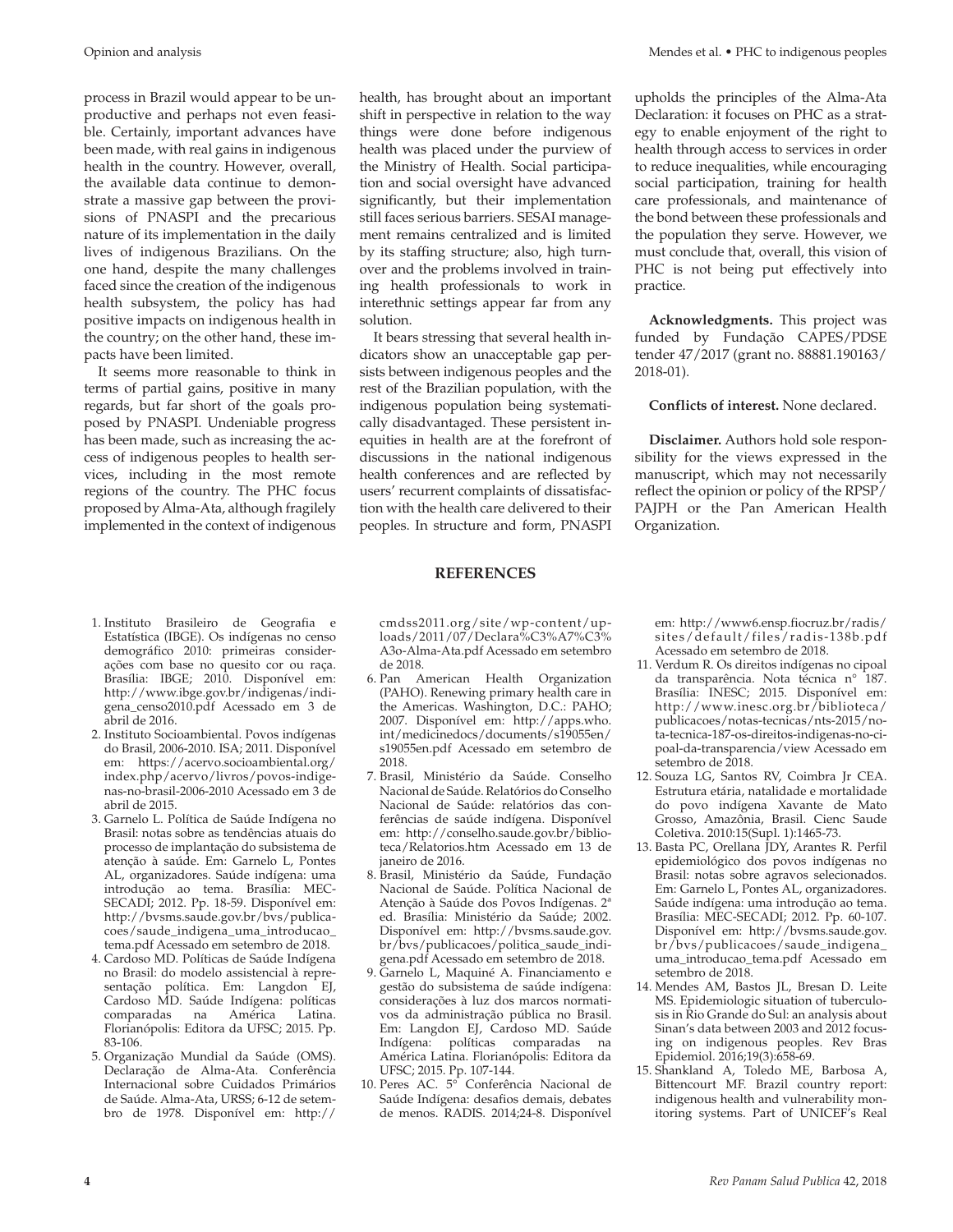process in Brazil would appear to be unproductive and perhaps not even feasible. Certainly, important advances have been made, with real gains in indigenous health in the country. However, overall, the available data continue to demonstrate a massive gap between the provisions of PNASPI and the precarious nature of its implementation in the daily lives of indigenous Brazilians. On the one hand, despite the many challenges faced since the creation of the indigenous health subsystem, the policy has had positive impacts on indigenous health in the country; on the other hand, these impacts have been limited.

It seems more reasonable to think in terms of partial gains, positive in many regards, but far short of the goals proposed by PNASPI. Undeniable progress has been made, such as increasing the access of indigenous peoples to health services, including in the most remote regions of the country. The PHC focus proposed by Alma-Ata, although fragilely implemented in the context of indigenous

health, has brought about an important shift in perspective in relation to the way things were done before indigenous health was placed under the purview of the Ministry of Health. Social participation and social oversight have advanced significantly, but their implementation still faces serious barriers. SESAI management remains centralized and is limited by its staffing structure; also, high turnover and the problems involved in training health professionals to work in interethnic settings appear far from any solution.

It bears stressing that several health indicators show an unacceptable gap persists between indigenous peoples and the rest of the Brazilian population, with the indigenous population being systematically disadvantaged. These persistent inequities in health are at the forefront of discussions in the national indigenous health conferences and are reflected by users' recurrent complaints of dissatisfaction with the health care delivered to their peoples. In structure and form, PNASPI

upholds the principles of the Alma-Ata Declaration: it focuses on PHC as a strategy to enable enjoyment of the right to health through access to services in order to reduce inequalities, while encouraging social participation, training for health care professionals, and maintenance of the bond between these professionals and the population they serve. However, we must conclude that, overall, this vision of PHC is not being put effectively into practice.

**Acknowledgments.** This project was funded by Fundação CAPES/PDSE tender 47/2017 (grant no. 88881.190163/ 2018-01).

#### **Conflicts of interest.** None declared.

**Disclaimer.** Authors hold sole responsibility for the views expressed in the manuscript, which may not necessarily reflect the opinion or policy of the RPSP/ PAJPH or the Pan American Health Organization.

- 1. Instituto Brasileiro de Geografia e Estatística (IBGE). Os indígenas no censo demográfico 2010: primeiras considerações com base no quesito cor ou raça. Brasília: IBGE; 2010. Disponível em: [http://www.ibge.gov.br/indigenas/indi](http://www.ibge.gov.br/indigenas/indigena_censo2010.pdf)[gena\\_censo2010.pdf](http://www.ibge.gov.br/indigenas/indigena_censo2010.pdf) Acessado em 3 de abril de 2016.
- 2. Instituto Socioambiental. Povos indígenas do Brasil, 2006-2010. ISA; 2011. Disponível em: [https://acervo.socioambiental.org/](https://acervo.socioambiental.org/index.php/acervo/livros/povos-indigenas-no-brasil-2006-2010) [index.php/acervo/livros/povos-indige](https://acervo.socioambiental.org/index.php/acervo/livros/povos-indigenas-no-brasil-2006-2010)[nas-no-brasil-2006-2010](https://acervo.socioambiental.org/index.php/acervo/livros/povos-indigenas-no-brasil-2006-2010) Acessado em 3 de abril de 2015.
- 3. Garnelo L. Política de Saúde Indígena no Brasil: notas sobre as tendências atuais do processo de implantação do subsistema de atenção à saúde. Em: Garnelo L, Pontes AL, organizadores. Saúde indígena: uma introdução ao tema. Brasília: MEC-SECADI; 2012. Pp. 18-59. Disponível em: [http://bvsms.saude.gov.br/bvs/publica](http://bvsms.saude.gov.br/bvs/publicacoes/saude_indigena_uma_introducao_tema.pdf)[coes/saude\\_indigena\\_uma\\_introducao\\_](http://bvsms.saude.gov.br/bvs/publicacoes/saude_indigena_uma_introducao_tema.pdf) [tema.pdf](http://bvsms.saude.gov.br/bvs/publicacoes/saude_indigena_uma_introducao_tema.pdf) Acessado em setembro de 2018.
- 4. Cardoso MD. Políticas de Saúde Indígena no Brasil: do modelo assistencial à representação política. Em: Langdon EJ, Cardoso MD. Saúde Indígena: políticas comparadas na América Latina. Florianópolis: Editora da UFSC; 2015. Pp. 83-106.
- 5. Organização Mundial da Saúde (OMS). Declaração de Alma-Ata. Conferência Internacional sobre Cuidados Primários de Saúde. Alma-Ata, URSS; 6-12 de setembro de 1978. Disponível em: [http://](http://cmdss2011.org/site/wp-content/uploads/2011/07/Declara%C3%A7%C3%​A3o-Alma-Ata.pdf)

[cmdss2011.org/site/wp-content/up](http://cmdss2011.org/site/wp-content/uploads/2011/07/Declara%C3%A7%C3%​A3o-Alma-Ata.pdf)[loads/2011/07/Declara%C3%A7%C3%](http://cmdss2011.org/site/wp-content/uploads/2011/07/Declara%C3%A7%C3%​A3o-Alma-Ata.pdf) [A3o-Alma-Ata.pdf](http://cmdss2011.org/site/wp-content/uploads/2011/07/Declara%C3%A7%C3%​A3o-Alma-Ata.pdf) Acessado em setembro de 2018.

**REFERENCES**

- 6. Pan American Health Organization (PAHO). Renewing primary health care in the Americas. Washington, D.C.: PAHO; 2007. Disponível em: [http://apps.who.](http://apps.who.int/medicinedocs/documents/s19055en/s19055en.pdf) [int/medicinedocs/documents/s19055en/](http://apps.who.int/medicinedocs/documents/s19055en/s19055en.pdf) [s19055en.pdf](http://apps.who.int/medicinedocs/documents/s19055en/s19055en.pdf) Acessado em setembro de 2018.
- 7. Brasil, Ministério da Saúde. Conselho Nacional de Saúde. Relatórios do Conselho Nacional de Saúde: relatórios das conferências de saúde indígena. Disponível em: [http://conselho.saude.gov.br/biblio](http://conselho.saude.gov.br/biblioteca/Relatorios.htm)[teca/Relatorios.htm](http://conselho.saude.gov.br/biblioteca/Relatorios.htm) Acessado em 13 de janeiro de 2016.
- 8. Brasil, Ministério da Saúde, Fundação Nacional de Saúde. Política Nacional de Atenção à Saúde dos Povos Indígenas. 2ª ed. Brasília: Ministério da Saúde; 2002. Disponível em: [http://bvsms.saude.gov.](http://bvsms.saude.gov.br/bvs/publicacoes/politica_saude_indigena.pdf) [br/bvs/publicacoes/politica\\_saude\\_indi](http://bvsms.saude.gov.br/bvs/publicacoes/politica_saude_indigena.pdf)[gena.pdf](http://bvsms.saude.gov.br/bvs/publicacoes/politica_saude_indigena.pdf) Acessado em setembro de 2018.
- 9. Garnelo L, Maquiné A. Financiamento e gestão do subsistema de saúde indígena: considerações à luz dos marcos normativos da administração pública no Brasil. Em: Langdon EJ, Cardoso MD. Saúde Indígena: políticas comparadas na América Latina. Florianópolis: Editora da UFSC; 2015. Pp. 107-144.
- 10. Peres AC. 5° Conferência Nacional de Saúde Indígena: desafios demais, debates de menos. RADIS. 2014;24-8. Disponível

em: [http://www6.ensp.fiocruz.br/radis/](http://www6.ensp.fiocruz.br/radis/sites/default/files/radis-138b.pdf) [sites/default/files/radis-138b.pdf](http://www6.ensp.fiocruz.br/radis/sites/default/files/radis-138b.pdf) Acessado em setembro de 2018.

- 11. Verdum R. Os direitos indígenas no cipoal da transparência. Nota técnica n° 187. Brasília: INESC; 2015. Disponível em: [http://www.inesc.org.br/biblioteca/](http://www.inesc.org.br/biblioteca/publicacoes/notas-tecnicas/nts-2015/nota-tecnica-187-os-direitos-indigenas-no-cipoal-da-transparencia/view) [publicacoes/notas-tecnicas/nts-2015/no](http://www.inesc.org.br/biblioteca/publicacoes/notas-tecnicas/nts-2015/nota-tecnica-187-os-direitos-indigenas-no-cipoal-da-transparencia/view)[ta-tecnica-187-os-direitos-indigenas-no-ci](http://www.inesc.org.br/biblioteca/publicacoes/notas-tecnicas/nts-2015/nota-tecnica-187-os-direitos-indigenas-no-cipoal-da-transparencia/view)[poal-da-transparencia/view](http://www.inesc.org.br/biblioteca/publicacoes/notas-tecnicas/nts-2015/nota-tecnica-187-os-direitos-indigenas-no-cipoal-da-transparencia/view) Acessado em setembro de 2018.
- 12. Souza LG, Santos RV, Coimbra Jr CEA. Estrutura etária, natalidade e mortalidade do povo indígena Xavante de Mato Grosso, Amazônia, Brasil. Cienc Saude Coletiva. 2010:15(Supl. 1):1465-73.
- 13. Basta PC, Orellana JDY, Arantes R. Perfil epidemiológico dos povos indígenas no Brasil: notas sobre agravos selecionados. Em: Garnelo L, Pontes AL, organizadores. Saúde indígena: uma introdução ao tema. Brasília: MEC-SECADI; 2012. Pp. 60-107. Disponível em: [http://bvsms.saude.gov.](http://bvsms.saude.gov.br/bvs/publicacoes/saude_indigena_uma_introducao_tema.pdf) [br/bvs/publicacoes/saude\\_indigena\\_](http://bvsms.saude.gov.br/bvs/publicacoes/saude_indigena_uma_introducao_tema.pdf) [uma\\_introducao\\_tema.pdf](http://bvsms.saude.gov.br/bvs/publicacoes/saude_indigena_uma_introducao_tema.pdf) Acessado em setembro de 2018.
- 14. Mendes AM, Bastos JL, Bresan D. Leite MS. Epidemiologic situation of tuberculosis in Rio Grande do Sul: an analysis about Sinan's data between 2003 and 2012 focusing on indigenous peoples. Rev Bras Epidemiol. 2016;19(3):658-69.
- 15. Shankland A, Toledo ME, Barbosa A, Bittencourt MF. Brazil country report: indigenous health and vulnerability monitoring systems. Part of UNICEF's Real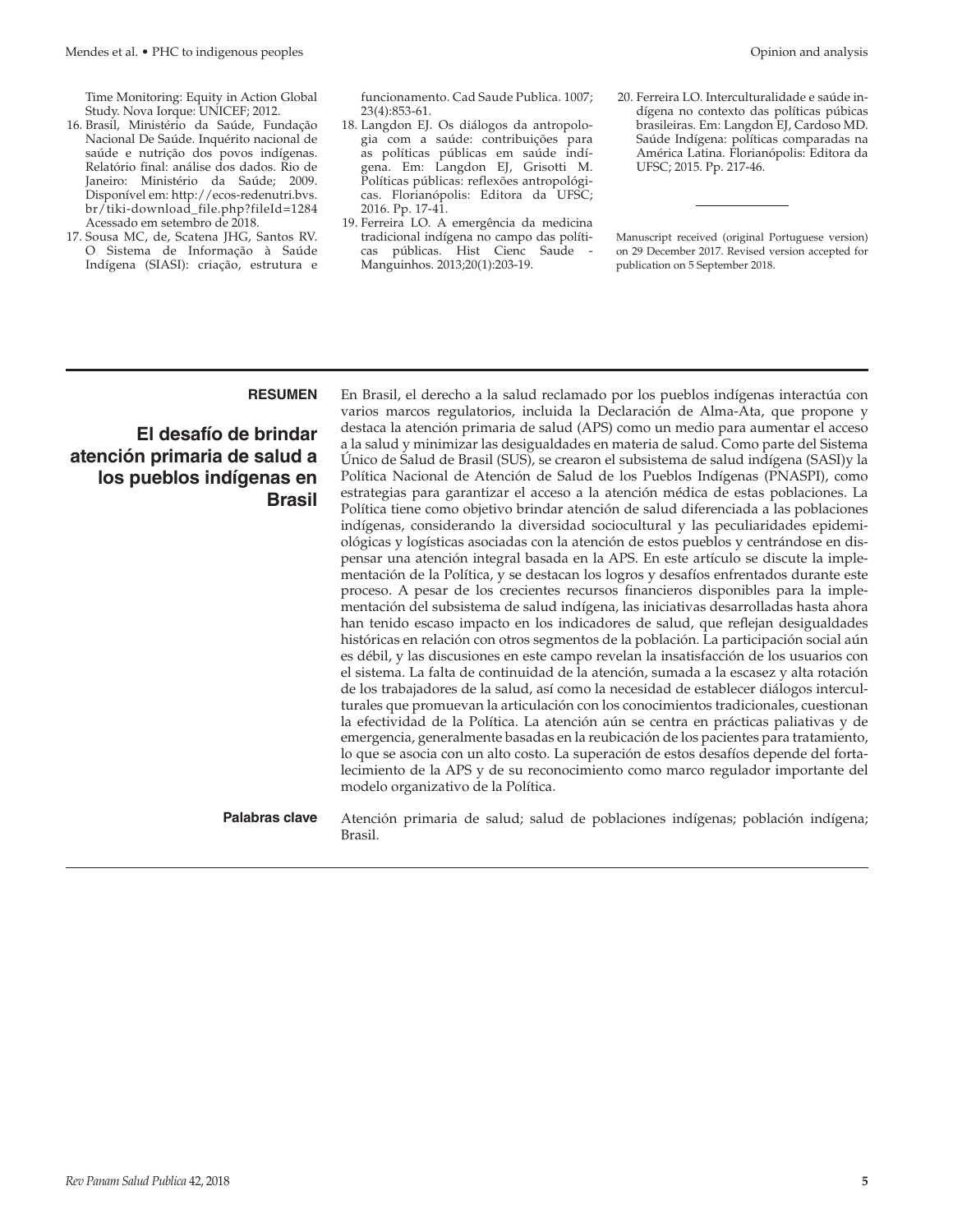Time Monitoring: Equity in Action Global Study. Nova Iorque: UNICEF; 2012.

- 16. Brasil, Ministério da Saúde, Fundação Nacional De Saúde. Inquérito nacional de saúde e nutrição dos povos indígenas. Relatório final: análise dos dados. Rio de Janeiro: Ministério da Saúde; 2009. Disponível em: [http://ecos-redenutri.bvs.](http://ecos-redenutri.bvs.br/tiki-download_file.php?fileId=1284) [br/tiki-download\\_file.php?fileId=1284](http://ecos-redenutri.bvs.br/tiki-download_file.php?fileId=1284) Acessado em setembro de 2018.
- 17. Sousa MC, de, Scatena JHG, Santos RV. O Sistema de Informação à Saúde Indígena (SIASI): criação, estrutura e

funcionamento. Cad Saude Publica. 1007; 23(4):853-61.

- 18. Langdon EJ. Os diálogos da antropologia com a saúde: contribuições para as políticas públicas em saúde indígena. Em: Langdon EJ, Grisotti M. Políticas públicas: reflexões antropológicas. Florianópolis: Editora da UFSC; 2016. Pp. 17-41.
- 19. Ferreira LO. A emergência da medicina tradicional indígena no campo das políticas públicas. Hist Cienc Saude - Manguinhos. 2013;20(1):203-19.
- 20. Ferreira LO. Interculturalidade e saúde indígena no contexto das políticas púbicas brasileiras. Em: Langdon EJ, Cardoso MD. Saúde Indígena: políticas comparadas na América Latina. Florianópolis: Editora da UFSC; 2015. Pp. 217-46.

Manuscript received (original Portuguese version) on 29 December 2017. Revised version accepted for publication on 5 September 2018.

## **El desafío de brindar atención primaria de salud a los pueblos indígenas en Brasil**

**RESUMEN** En Brasil, el derecho a la salud reclamado por los pueblos indígenas interactúa con varios marcos regulatorios, incluida la Declaración de Alma-Ata, que propone y destaca la atención primaria de salud (APS) como un medio para aumentar el acceso a la salud y minimizar las desigualdades en materia de salud. Como parte del Sistema Único de Salud de Brasil (SUS), se crearon el subsistema de salud indígena (SASI)y la Política Nacional de Atención de Salud de los Pueblos Indígenas (PNASPI), como estrategias para garantizar el acceso a la atención médica de estas poblaciones. La Política tiene como objetivo brindar atención de salud diferenciada a las poblaciones indígenas, considerando la diversidad sociocultural y las peculiaridades epidemiológicas y logísticas asociadas con la atención de estos pueblos y centrándose en dispensar una atención integral basada en la APS. En este artículo se discute la implementación de la Política, y se destacan los logros y desafíos enfrentados durante este proceso. A pesar de los crecientes recursos financieros disponibles para la implementación del subsistema de salud indígena, las iniciativas desarrolladas hasta ahora han tenido escaso impacto en los indicadores de salud, que reflejan desigualdades históricas en relación con otros segmentos de la población. La participación social aún es débil, y las discusiones en este campo revelan la insatisfacción de los usuarios con el sistema. La falta de continuidad de la atención, sumada a la escasez y alta rotación de los trabajadores de la salud, así como la necesidad de establecer diálogos interculturales que promuevan la articulación con los conocimientos tradicionales, cuestionan la efectividad de la Política. La atención aún se centra en prácticas paliativas y de emergencia, generalmente basadas en la reubicación de los pacientes para tratamiento, lo que se asocia con un alto costo. La superación de estos desafíos depende del fortalecimiento de la APS y de su reconocimiento como marco regulador importante del modelo organizativo de la Política.

**Palabras clave** Atención primaria de salud; salud de poblaciones indígenas; población indígena; Brasil.